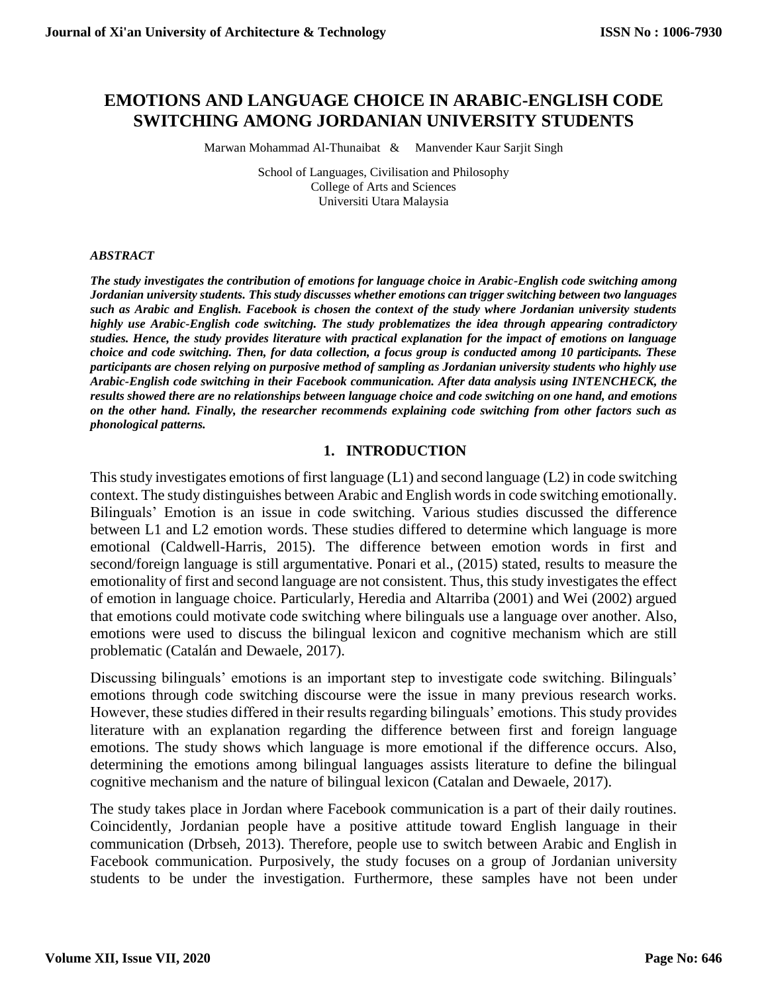# **EMOTIONS AND LANGUAGE CHOICE IN ARABIC-ENGLISH CODE SWITCHING AMONG JORDANIAN UNIVERSITY STUDENTS**

Marwan Mohammad Al-Thunaibat & Manvender Kaur Sarjit Singh

School of Languages, Civilisation and Philosophy College of Arts and Sciences Universiti Utara Malaysia

#### *ABSTRACT*

*The study investigates the contribution of emotions for language choice in Arabic-English code switching among Jordanian university students. This study discusses whether emotions can trigger switching between two languages such as Arabic and English. Facebook is chosen the context of the study where Jordanian university students highly use Arabic-English code switching. The study problematizes the idea through appearing contradictory studies. Hence, the study provides literature with practical explanation for the impact of emotions on language choice and code switching. Then, for data collection, a focus group is conducted among 10 participants. These participants are chosen relying on purposive method of sampling as Jordanian university students who highly use Arabic-English code switching in their Facebook communication. After data analysis using INTENCHECK, the results showed there are no relationships between language choice and code switching on one hand, and emotions on the other hand. Finally, the researcher recommends explaining code switching from other factors such as phonological patterns.*

#### **1. INTRODUCTION**

This study investigates emotions of first language (L1) and second language (L2) in code switching context. The study distinguishes between Arabic and English words in code switching emotionally. Bilinguals' Emotion is an issue in code switching. Various studies discussed the difference between L1 and L2 emotion words. These studies differed to determine which language is more emotional (Caldwell-Harris, 2015). The difference between emotion words in first and second/foreign language is still argumentative. Ponari et al., (2015) stated, results to measure the emotionality of first and second language are not consistent. Thus, this study investigates the effect of emotion in language choice. Particularly, Heredia and Altarriba (2001) and Wei (2002) argued that emotions could motivate code switching where bilinguals use a language over another. Also, emotions were used to discuss the bilingual lexicon and cognitive mechanism which are still problematic (Catalán and Dewaele, 2017).

Discussing bilinguals' emotions is an important step to investigate code switching. Bilinguals' emotions through code switching discourse were the issue in many previous research works. However, these studies differed in their results regarding bilinguals' emotions. This study provides literature with an explanation regarding the difference between first and foreign language emotions. The study shows which language is more emotional if the difference occurs. Also, determining the emotions among bilingual languages assists literature to define the bilingual cognitive mechanism and the nature of bilingual lexicon (Catalan and Dewaele, 2017).

The study takes place in Jordan where Facebook communication is a part of their daily routines. Coincidently, Jordanian people have a positive attitude toward English language in their communication (Drbseh, 2013). Therefore, people use to switch between Arabic and English in Facebook communication. Purposively, the study focuses on a group of Jordanian university students to be under the investigation. Furthermore, these samples have not been under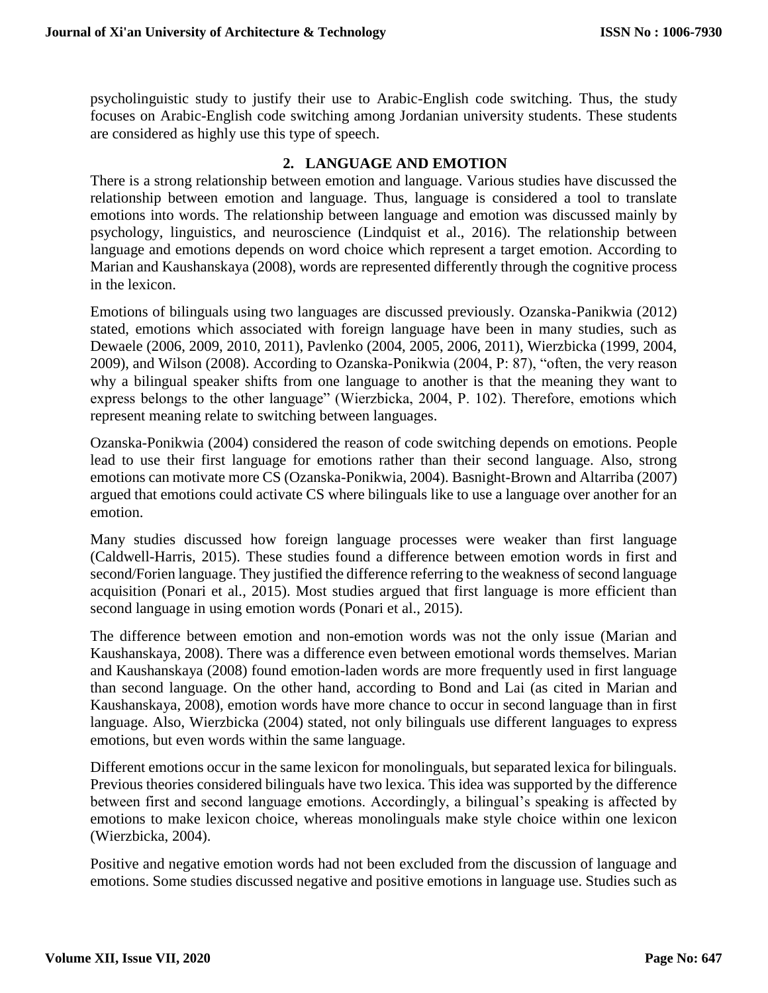psycholinguistic study to justify their use to Arabic-English code switching. Thus, the study focuses on Arabic-English code switching among Jordanian university students. These students are considered as highly use this type of speech.

## **2. LANGUAGE AND EMOTION**

There is a strong relationship between emotion and language. Various studies have discussed the relationship between emotion and language. Thus, language is considered a tool to translate emotions into words. The relationship between language and emotion was discussed mainly by psychology, linguistics, and neuroscience (Lindquist et al., 2016). The relationship between language and emotions depends on word choice which represent a target emotion. According to Marian and Kaushanskaya (2008), words are represented differently through the cognitive process in the lexicon.

Emotions of bilinguals using two languages are discussed previously. Ozanska-Panikwia (2012) stated, emotions which associated with foreign language have been in many studies, such as Dewaele (2006, 2009, 2010, 2011), Pavlenko (2004, 2005, 2006, 2011), Wierzbicka (1999, 2004, 2009), and Wilson (2008). According to Ozanska-Ponikwia (2004, P: 87), "often, the very reason why a bilingual speaker shifts from one language to another is that the meaning they want to express belongs to the other language" (Wierzbicka, 2004, P. 102). Therefore, emotions which represent meaning relate to switching between languages.

Ozanska-Ponikwia (2004) considered the reason of code switching depends on emotions. People lead to use their first language for emotions rather than their second language. Also, strong emotions can motivate more CS (Ozanska-Ponikwia, 2004). Basnight-Brown and Altarriba (2007) argued that emotions could activate CS where bilinguals like to use a language over another for an emotion.

Many studies discussed how foreign language processes were weaker than first language (Caldwell-Harris, 2015). These studies found a difference between emotion words in first and second/Forien language. They justified the difference referring to the weakness of second language acquisition (Ponari et al., 2015). Most studies argued that first language is more efficient than second language in using emotion words (Ponari et al., 2015).

The difference between emotion and non-emotion words was not the only issue (Marian and Kaushanskaya, 2008). There was a difference even between emotional words themselves. Marian and Kaushanskaya (2008) found emotion-laden words are more frequently used in first language than second language. On the other hand, according to Bond and Lai (as cited in Marian and Kaushanskaya, 2008), emotion words have more chance to occur in second language than in first language. Also, Wierzbicka (2004) stated, not only bilinguals use different languages to express emotions, but even words within the same language.

Different emotions occur in the same lexicon for monolinguals, but separated lexica for bilinguals. Previous theories considered bilinguals have two lexica. This idea was supported by the difference between first and second language emotions. Accordingly, a bilingual's speaking is affected by emotions to make lexicon choice, whereas monolinguals make style choice within one lexicon (Wierzbicka, 2004).

Positive and negative emotion words had not been excluded from the discussion of language and emotions. Some studies discussed negative and positive emotions in language use. Studies such as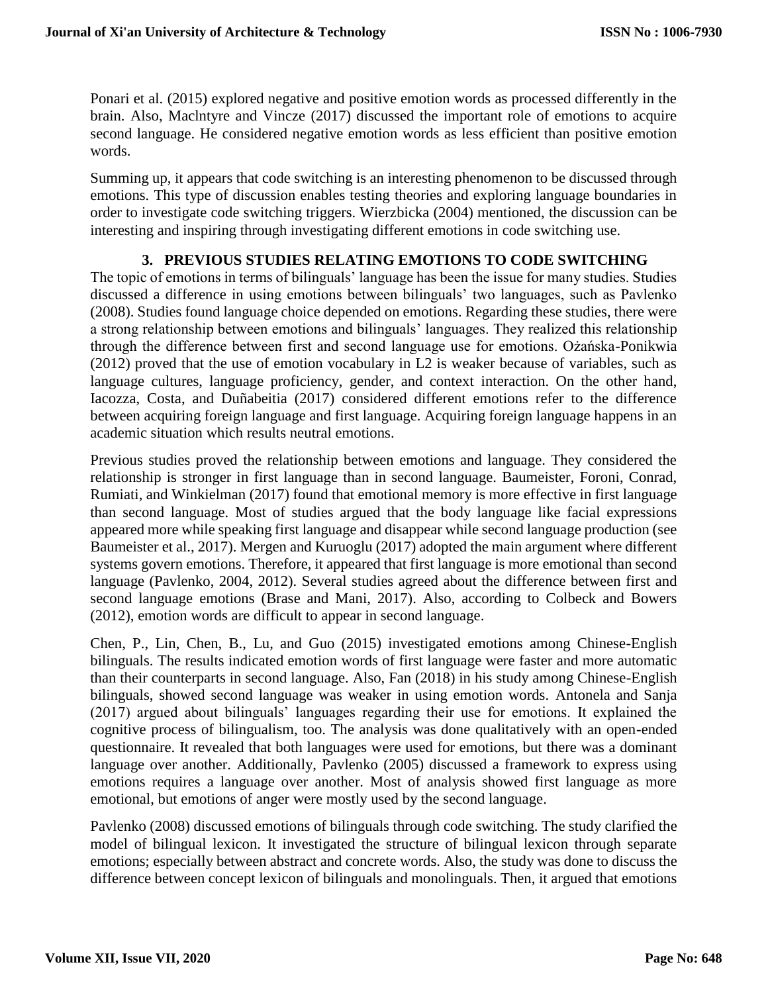Ponari et al. (2015) explored negative and positive emotion words as processed differently in the brain. Also, Maclntyre and Vincze (2017) discussed the important role of emotions to acquire second language. He considered negative emotion words as less efficient than positive emotion words.

Summing up, it appears that code switching is an interesting phenomenon to be discussed through emotions. This type of discussion enables testing theories and exploring language boundaries in order to investigate code switching triggers. Wierzbicka (2004) mentioned, the discussion can be interesting and inspiring through investigating different emotions in code switching use.

# **3. PREVIOUS STUDIES RELATING EMOTIONS TO CODE SWITCHING**

The topic of emotions in terms of bilinguals' language has been the issue for many studies. Studies discussed a difference in using emotions between bilinguals' two languages, such as Pavlenko (2008). Studies found language choice depended on emotions. Regarding these studies, there were a strong relationship between emotions and bilinguals' languages. They realized this relationship through the difference between first and second language use for emotions. Ożańska-Ponikwia (2012) proved that the use of emotion vocabulary in L2 is weaker because of variables, such as language cultures, language proficiency, gender, and context interaction. On the other hand, Iacozza, Costa, and Duñabeitia (2017) considered different emotions refer to the difference between acquiring foreign language and first language. Acquiring foreign language happens in an academic situation which results neutral emotions.

Previous studies proved the relationship between emotions and language. They considered the relationship is stronger in first language than in second language. Baumeister, Foroni, Conrad, Rumiati, and Winkielman (2017) found that emotional memory is more effective in first language than second language. Most of studies argued that the body language like facial expressions appeared more while speaking first language and disappear while second language production (see Baumeister et al., 2017). Mergen and Kuruoglu (2017) adopted the main argument where different systems govern emotions. Therefore, it appeared that first language is more emotional than second language (Pavlenko, 2004, 2012). Several studies agreed about the difference between first and second language emotions (Brase and Mani, 2017). Also, according to Colbeck and Bowers (2012), emotion words are difficult to appear in second language.

Chen, P., Lin, Chen, B., Lu, and Guo (2015) investigated emotions among Chinese-English bilinguals. The results indicated emotion words of first language were faster and more automatic than their counterparts in second language. Also, Fan (2018) in his study among Chinese-English bilinguals, showed second language was weaker in using emotion words. Antonela and Sanja (2017) argued about bilinguals' languages regarding their use for emotions. It explained the cognitive process of bilingualism, too. The analysis was done qualitatively with an open-ended questionnaire. It revealed that both languages were used for emotions, but there was a dominant language over another. Additionally, Pavlenko (2005) discussed a framework to express using emotions requires a language over another. Most of analysis showed first language as more emotional, but emotions of anger were mostly used by the second language.

Pavlenko (2008) discussed emotions of bilinguals through code switching. The study clarified the model of bilingual lexicon. It investigated the structure of bilingual lexicon through separate emotions; especially between abstract and concrete words. Also, the study was done to discuss the difference between concept lexicon of bilinguals and monolinguals. Then, it argued that emotions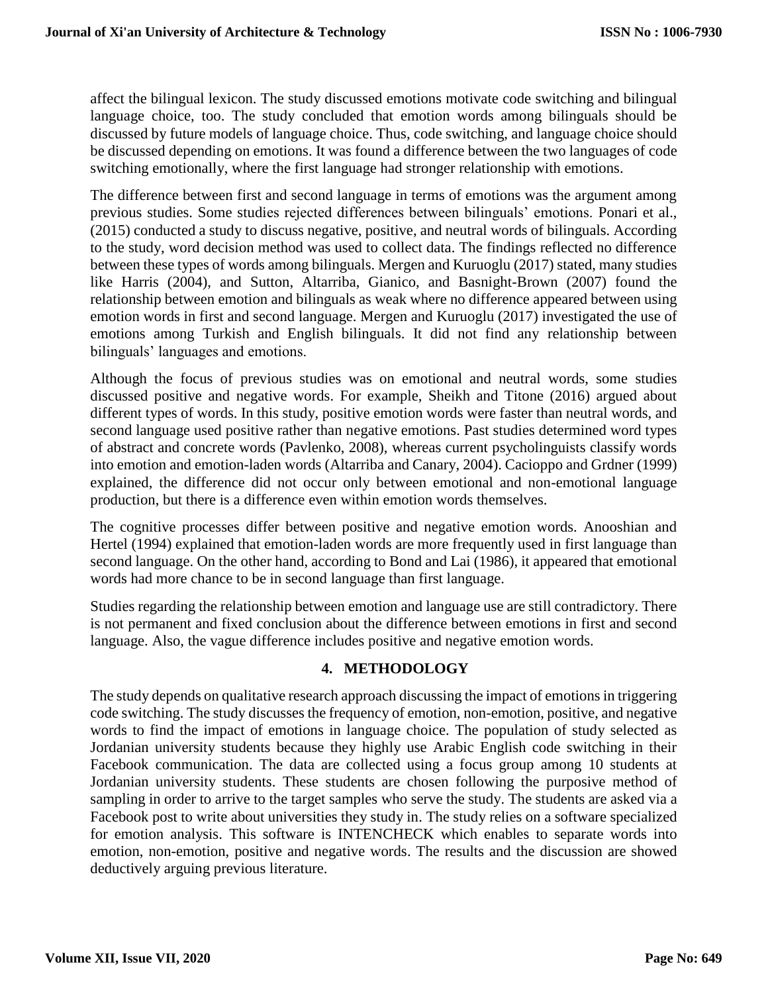affect the bilingual lexicon. The study discussed emotions motivate code switching and bilingual language choice, too. The study concluded that emotion words among bilinguals should be discussed by future models of language choice. Thus, code switching, and language choice should be discussed depending on emotions. It was found a difference between the two languages of code switching emotionally, where the first language had stronger relationship with emotions.

The difference between first and second language in terms of emotions was the argument among previous studies. Some studies rejected differences between bilinguals' emotions. Ponari et al., (2015) conducted a study to discuss negative, positive, and neutral words of bilinguals. According to the study, word decision method was used to collect data. The findings reflected no difference between these types of words among bilinguals. Mergen and Kuruoglu (2017) stated, many studies like Harris (2004), and Sutton, Altarriba, Gianico, and Basnight-Brown (2007) found the relationship between emotion and bilinguals as weak where no difference appeared between using emotion words in first and second language. Mergen and Kuruoglu (2017) investigated the use of emotions among Turkish and English bilinguals. It did not find any relationship between bilinguals' languages and emotions.

Although the focus of previous studies was on emotional and neutral words, some studies discussed positive and negative words. For example, Sheikh and Titone (2016) argued about different types of words. In this study, positive emotion words were faster than neutral words, and second language used positive rather than negative emotions. Past studies determined word types of abstract and concrete words (Pavlenko, 2008), whereas current psycholinguists classify words into emotion and emotion-laden words (Altarriba and Canary, 2004). Cacioppo and Grdner (1999) explained, the difference did not occur only between emotional and non-emotional language production, but there is a difference even within emotion words themselves.

The cognitive processes differ between positive and negative emotion words. Anooshian and Hertel (1994) explained that emotion-laden words are more frequently used in first language than second language. On the other hand, according to Bond and Lai (1986), it appeared that emotional words had more chance to be in second language than first language.

Studies regarding the relationship between emotion and language use are still contradictory. There is not permanent and fixed conclusion about the difference between emotions in first and second language. Also, the vague difference includes positive and negative emotion words.

## **4. METHODOLOGY**

The study depends on qualitative research approach discussing the impact of emotions in triggering code switching. The study discusses the frequency of emotion, non-emotion, positive, and negative words to find the impact of emotions in language choice. The population of study selected as Jordanian university students because they highly use Arabic English code switching in their Facebook communication. The data are collected using a focus group among 10 students at Jordanian university students. These students are chosen following the purposive method of sampling in order to arrive to the target samples who serve the study. The students are asked via a Facebook post to write about universities they study in. The study relies on a software specialized for emotion analysis. This software is INTENCHECK which enables to separate words into emotion, non-emotion, positive and negative words. The results and the discussion are showed deductively arguing previous literature.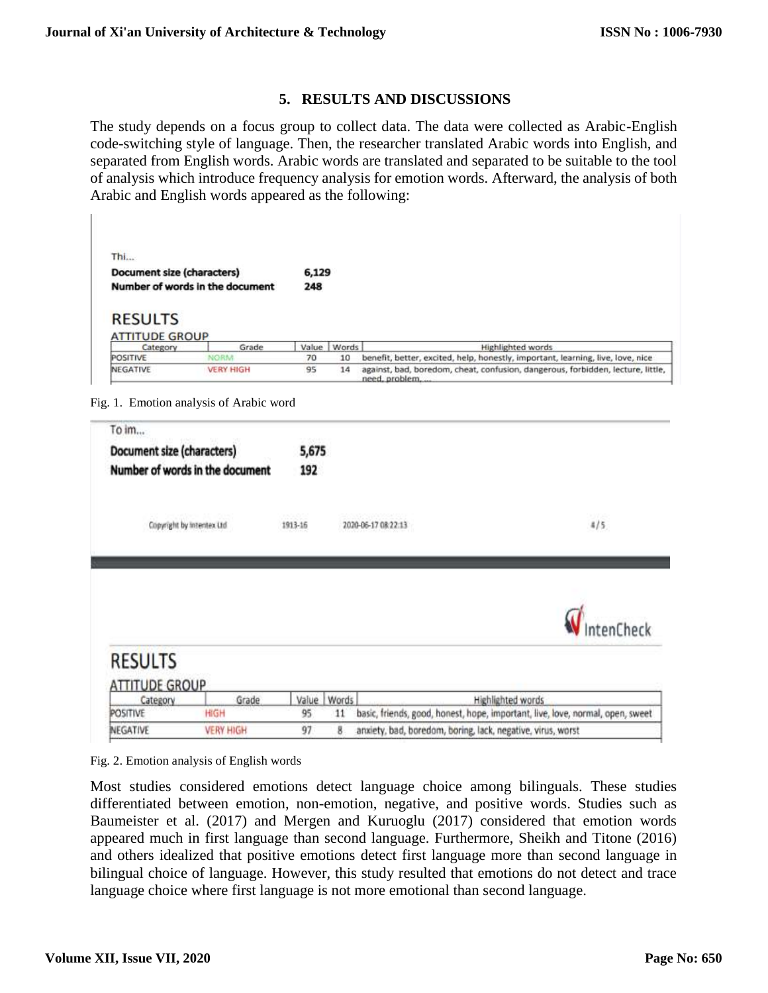# **5. RESULTS AND DISCUSSIONS**

The study depends on a focus group to collect data. The data were collected as Arabic-English code-switching style of language. Then, the researcher translated Arabic words into English, and separated from English words. Arabic words are translated and separated to be suitable to the tool of analysis which introduce frequency analysis for emotion words. Afterward, the analysis of both Arabic and English words appeared as the following:

| Thi                                                           |             |              |       |                                                                                 |  |  |
|---------------------------------------------------------------|-------------|--------------|-------|---------------------------------------------------------------------------------|--|--|
| Document size (characters)<br>Number of words in the document |             | 6,129<br>248 |       |                                                                                 |  |  |
|                                                               |             |              |       |                                                                                 |  |  |
|                                                               |             |              |       |                                                                                 |  |  |
| Category                                                      | Grade       | Value        | Words | <b>Highlighted words</b>                                                        |  |  |
| <b>RESULTS</b><br><b>ATTITUDE GROUP</b><br>POSITIVE           | <b>NORM</b> | 70           | 10    | benefit, better, excited, help, honestly, important, learning, live, love, nice |  |  |



| To im                                                           |                                 |             |                     |                                                                                                                 |
|-----------------------------------------------------------------|---------------------------------|-------------|---------------------|-----------------------------------------------------------------------------------------------------------------|
| Document size (characters)                                      |                                 | 5,675       |                     |                                                                                                                 |
|                                                                 | Number of words in the document | 192         |                     |                                                                                                                 |
| Copyright by intentex Ltd.                                      |                                 | 1913-16     | 2020-06-17 08:22:13 | <b>13725</b><br>4/5                                                                                             |
|                                                                 |                                 |             |                     |                                                                                                                 |
|                                                                 |                                 |             |                     |                                                                                                                 |
|                                                                 |                                 |             |                     |                                                                                                                 |
|                                                                 |                                 |             |                     |                                                                                                                 |
|                                                                 |                                 |             |                     |                                                                                                                 |
| <b>RESULTS</b><br><b>ATTITUDE GROUP</b><br>Category<br>POSITIVE | Grade<br>HIGH                   | Value<br>95 | Words<br>11         | tenCheck<br>Highlighted words<br>basic, friends, good, honest, hope, important, live, love, normal, open, sweet |

Fig. 2. Emotion analysis of English words

Most studies considered emotions detect language choice among bilinguals. These studies differentiated between emotion, non-emotion, negative, and positive words. Studies such as Baumeister et al. (2017) and Mergen and Kuruoglu (2017) considered that emotion words appeared much in first language than second language. Furthermore, Sheikh and Titone (2016) and others idealized that positive emotions detect first language more than second language in bilingual choice of language. However, this study resulted that emotions do not detect and trace language choice where first language is not more emotional than second language.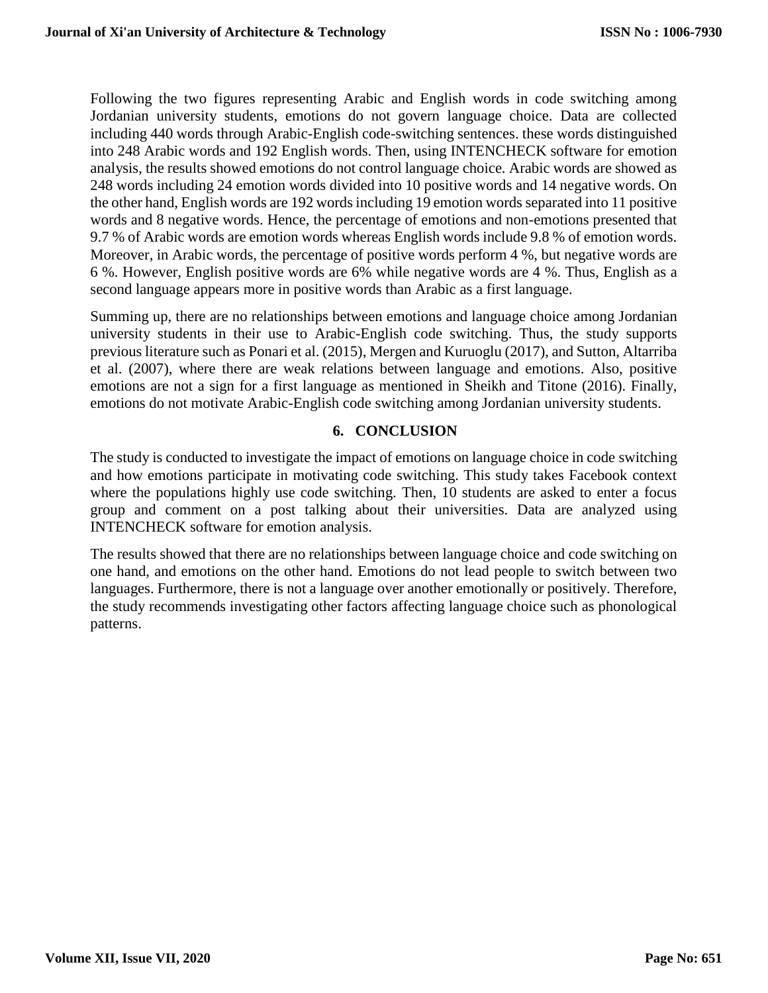Following the two figures representing Arabic and English words in code switching among Jordanian university students, emotions do not govern language choice. Data are collected including 440 words through Arabic-English code-switching sentences. these words distinguished into 248 Arabic words and 192 English words. Then, using INTENCHECK software for emotion analysis, the results showed emotions do not control language choice. Arabic words are showed as 248 words including 24 emotion words divided into 10 positive words and 14 negative words. On the other hand, English words are 192 words including 19 emotion words separated into 11 positive words and 8 negative words. Hence, the percentage of emotions and non-emotions presented that 9.7 % of Arabic words are emotion words whereas English words include 9.8 % of emotion words. Moreover, in Arabic words, the percentage of positive words perform 4 %, but negative words are 6 %. However, English positive words are 6% while negative words are 4 %. Thus, English as a second language appears more in positive words than Arabic as a first language.

Summing up, there are no relationships between emotions and language choice among Jordanian university students in their use to Arabic-English code switching. Thus, the study supports previous literature such as Ponari et al. (2015), Mergen and Kuruoglu (2017), and Sutton, Altarriba et al. (2007), where there are weak relations between language and emotions. Also, positive emotions are not a sign for a first language as mentioned in Sheikh and Titone (2016). Finally, emotions do not motivate Arabic-English code switching among Jordanian university students.

## **6. CONCLUSION**

The study is conducted to investigate the impact of emotions on language choice in code switching and how emotions participate in motivating code switching. This study takes Facebook context where the populations highly use code switching. Then, 10 students are asked to enter a focus group and comment on a post talking about their universities. Data are analyzed using INTENCHECK software for emotion analysis.

The results showed that there are no relationships between language choice and code switching on one hand, and emotions on the other hand. Emotions do not lead people to switch between two languages. Furthermore, there is not a language over another emotionally or positively. Therefore, the study recommends investigating other factors affecting language choice such as phonological patterns.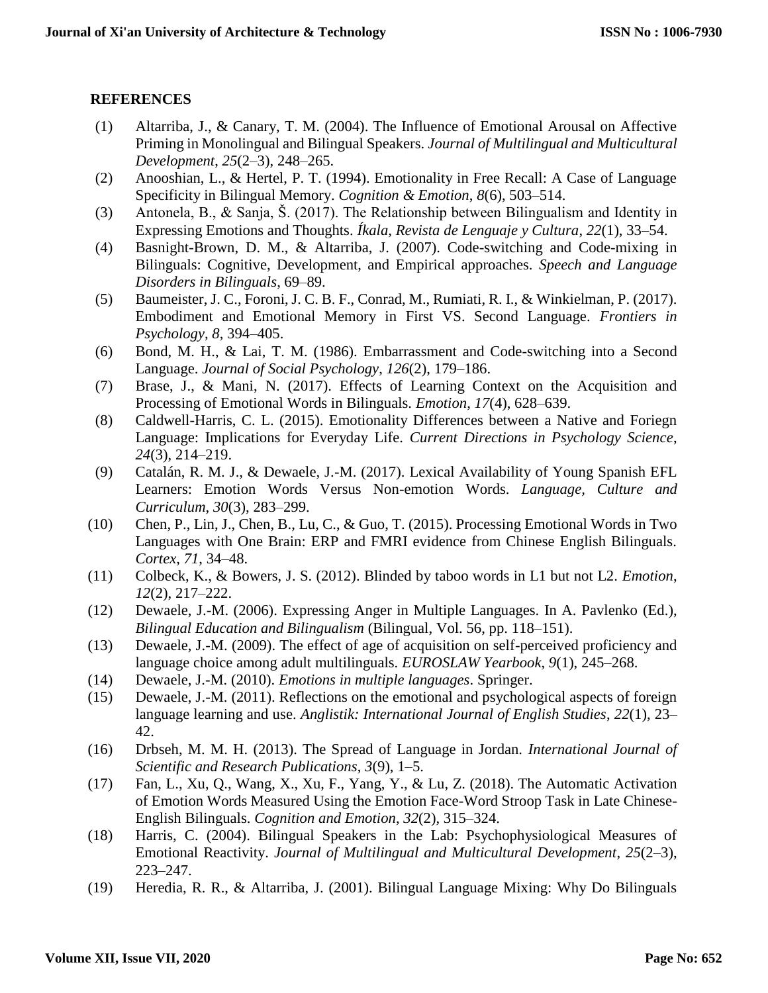# **REFERENCES**

- (1) Altarriba, J., & Canary, T. M. (2004). The Influence of Emotional Arousal on Affective Priming in Monolingual and Bilingual Speakers. *Journal of Multilingual and Multicultural Development*, *25*(2–3), 248–265.
- (2) Anooshian, L., & Hertel, P. T. (1994). Emotionality in Free Recall: A Case of Language Specificity in Bilingual Memory. *Cognition & Emotion*, *8*(6), 503–514.
- (3) Antonela, B., & Sanja, Š. (2017). The Relationship between Bilingualism and Identity in Expressing Emotions and Thoughts. *Íkala, Revista de Lenguaje y Cultura*, *22*(1), 33–54.
- (4) Basnight-Brown, D. M., & Altarriba, J. (2007). Code-switching and Code-mixing in Bilinguals: Cognitive, Development, and Empirical approaches. *Speech and Language Disorders in Bilinguals*, 69–89.
- (5) Baumeister, J. C., Foroni, J. C. B. F., Conrad, M., Rumiati, R. I., & Winkielman, P. (2017). Embodiment and Emotional Memory in First VS. Second Language. *Frontiers in Psychology*, *8*, 394–405.
- (6) Bond, M. H., & Lai, T. M. (1986). Embarrassment and Code-switching into a Second Language. *Journal of Social Psychology*, *126*(2), 179–186.
- (7) Brase, J., & Mani, N. (2017). Effects of Learning Context on the Acquisition and Processing of Emotional Words in Bilinguals. *Emotion*, *17*(4), 628–639.
- (8) Caldwell-Harris, C. L. (2015). Emotionality Differences between a Native and Foriegn Language: Implications for Everyday Life. *Current Directions in Psychology Science*, *24*(3), 214–219.
- (9) Catalán, R. M. J., & Dewaele, J.-M. (2017). Lexical Availability of Young Spanish EFL Learners: Emotion Words Versus Non-emotion Words. *Language, Culture and Curriculum*, *30*(3), 283–299.
- (10) Chen, P., Lin, J., Chen, B., Lu, C., & Guo, T. (2015). Processing Emotional Words in Two Languages with One Brain: ERP and FMRI evidence from Chinese English Bilinguals. *Cortex*, *71*, 34–48.
- (11) Colbeck, K., & Bowers, J. S. (2012). Blinded by taboo words in L1 but not L2. *Emotion*, *12*(2), 217–222.
- (12) Dewaele, J.-M. (2006). Expressing Anger in Multiple Languages. In A. Pavlenko (Ed.), *Bilingual Education and Bilingualism* (Bilingual, Vol. 56, pp. 118–151).
- (13) Dewaele, J.-M. (2009). The effect of age of acquisition on self-perceived proficiency and language choice among adult multilinguals. *EUROSLAW Yearbook*, *9*(1), 245–268.
- (14) Dewaele, J.-M. (2010). *Emotions in multiple languages*. Springer.
- (15) Dewaele, J.-M. (2011). Reflections on the emotional and psychological aspects of foreign language learning and use. *Anglistik: International Journal of English Studies*, *22*(1), 23– 42.
- (16) Drbseh, M. M. H. (2013). The Spread of Language in Jordan. *International Journal of Scientific and Research Publications*, *3*(9), 1–5.
- (17) Fan, L., Xu, Q., Wang, X., Xu, F., Yang, Y., & Lu, Z. (2018). The Automatic Activation of Emotion Words Measured Using the Emotion Face-Word Stroop Task in Late Chinese-English Bilinguals. *Cognition and Emotion*, *32*(2), 315–324.
- (18) Harris, C. (2004). Bilingual Speakers in the Lab: Psychophysiological Measures of Emotional Reactivity. *Journal of Multilingual and Multicultural Development*, *25*(2–3), 223–247.
- (19) Heredia, R. R., & Altarriba, J. (2001). Bilingual Language Mixing: Why Do Bilinguals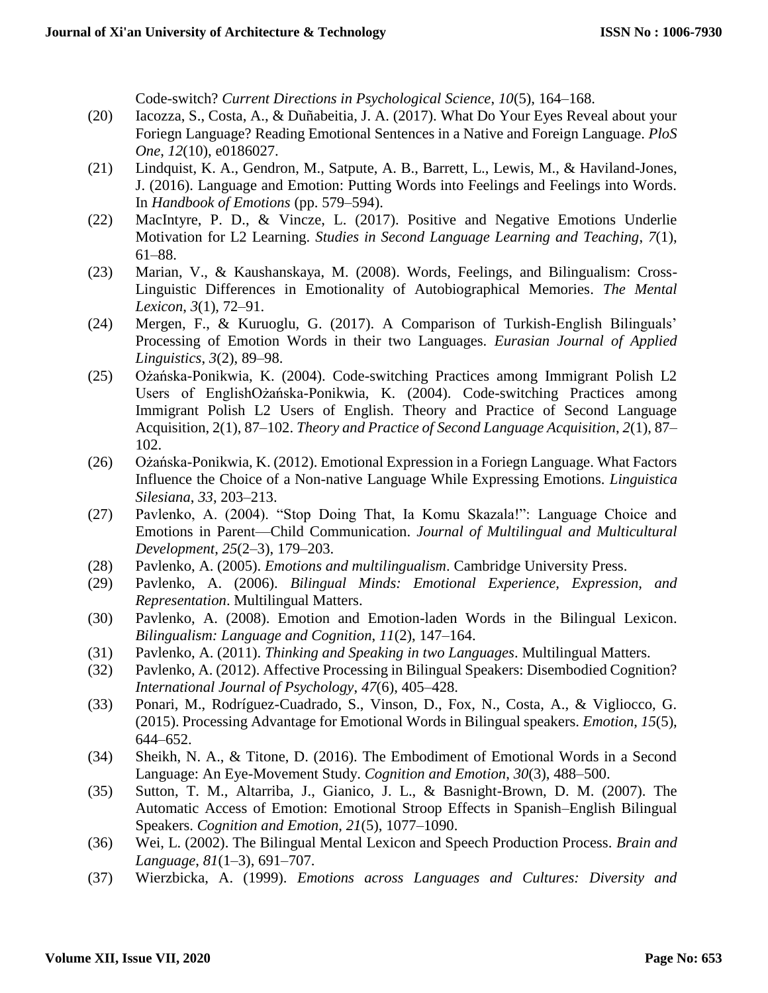Code-switch? *Current Directions in Psychological Science*, *10*(5), 164–168.

- (20) Iacozza, S., Costa, A., & Duñabeitia, J. A. (2017). What Do Your Eyes Reveal about your Foriegn Language? Reading Emotional Sentences in a Native and Foreign Language. *PloS One*, *12*(10), e0186027.
- (21) Lindquist, K. A., Gendron, M., Satpute, A. B., Barrett, L., Lewis, M., & Haviland-Jones, J. (2016). Language and Emotion: Putting Words into Feelings and Feelings into Words. In *Handbook of Emotions* (pp. 579–594).
- (22) MacIntyre, P. D., & Vincze, L. (2017). Positive and Negative Emotions Underlie Motivation for L2 Learning. *Studies in Second Language Learning and Teaching*, *7*(1), 61–88.
- (23) Marian, V., & Kaushanskaya, M. (2008). Words, Feelings, and Bilingualism: Cross-Linguistic Differences in Emotionality of Autobiographical Memories. *The Mental Lexicon*, *3*(1), 72–91.
- (24) Mergen, F., & Kuruoglu, G. (2017). A Comparison of Turkish-English Bilinguals' Processing of Emotion Words in their two Languages. *Eurasian Journal of Applied Linguistics*, *3*(2), 89–98.
- (25) Ożańska-Ponikwia, K. (2004). Code-switching Practices among Immigrant Polish L2 Users of EnglishOżańska-Ponikwia, K. (2004). Code-switching Practices among Immigrant Polish L2 Users of English. Theory and Practice of Second Language Acquisition, 2(1), 87–102. *Theory and Practice of Second Language Acquisition*, *2*(1), 87– 102.
- (26) Ożańska-Ponikwia, K. (2012). Emotional Expression in a Foriegn Language. What Factors Influence the Choice of a Non-native Language While Expressing Emotions. *Linguistica Silesiana*, *33*, 203–213.
- (27) Pavlenko, A. (2004). "Stop Doing That, Ia Komu Skazala!": Language Choice and Emotions in Parent—Child Communication. *Journal of Multilingual and Multicultural Development*, *25*(2–3), 179–203.
- (28) Pavlenko, A. (2005). *Emotions and multilingualism*. Cambridge University Press.
- (29) Pavlenko, A. (2006). *Bilingual Minds: Emotional Experience, Expression, and Representation*. Multilingual Matters.
- (30) Pavlenko, A. (2008). Emotion and Emotion-laden Words in the Bilingual Lexicon. *Bilingualism: Language and Cognition*, *11*(2), 147–164.
- (31) Pavlenko, A. (2011). *Thinking and Speaking in two Languages*. Multilingual Matters.
- (32) Pavlenko, A. (2012). Affective Processing in Bilingual Speakers: Disembodied Cognition? *International Journal of Psychology*, *47*(6), 405–428.
- (33) Ponari, M., Rodríguez-Cuadrado, S., Vinson, D., Fox, N., Costa, A., & Vigliocco, G. (2015). Processing Advantage for Emotional Words in Bilingual speakers. *Emotion*, *15*(5), 644–652.
- (34) Sheikh, N. A., & Titone, D. (2016). The Embodiment of Emotional Words in a Second Language: An Eye-Movement Study. *Cognition and Emotion*, *30*(3), 488–500.
- (35) Sutton, T. M., Altarriba, J., Gianico, J. L., & Basnight-Brown, D. M. (2007). The Automatic Access of Emotion: Emotional Stroop Effects in Spanish–English Bilingual Speakers. *Cognition and Emotion*, *21*(5), 1077–1090.
- (36) Wei, L. (2002). The Bilingual Mental Lexicon and Speech Production Process. *Brain and Language*, *81*(1–3), 691–707.
- (37) Wierzbicka, A. (1999). *Emotions across Languages and Cultures: Diversity and*